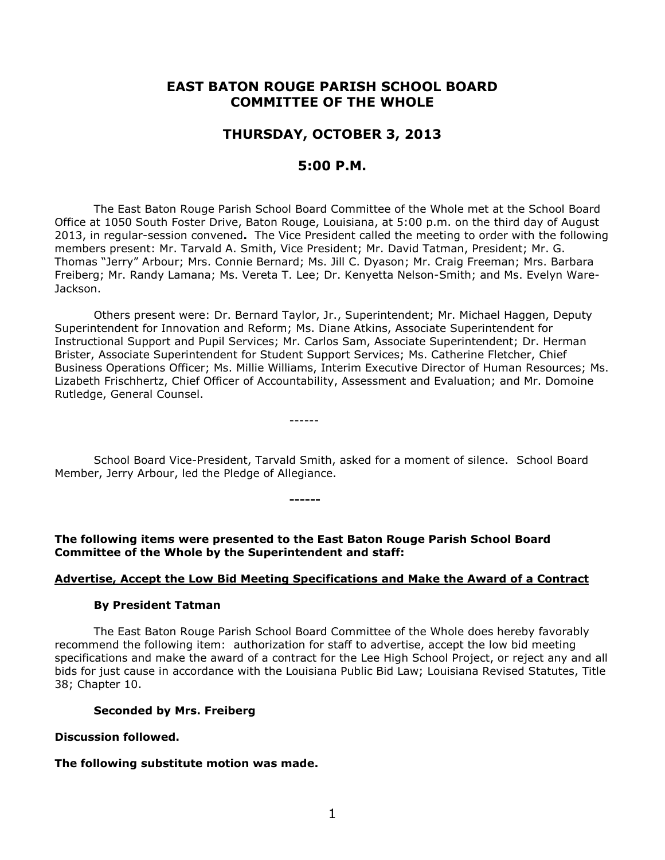# **EAST BATON ROUGE PARISH SCHOOL BOARD COMMITTEE OF THE WHOLE**

# **THURSDAY, OCTOBER 3, 2013**

# **5:00 P.M.**

The East Baton Rouge Parish School Board Committee of the Whole met at the School Board Office at 1050 South Foster Drive, Baton Rouge, Louisiana, at 5:00 p.m. on the third day of August 2013, in regular-session convened**.** The Vice President called the meeting to order with the following members present: Mr. Tarvald A. Smith, Vice President; Mr. David Tatman, President; Mr. G. Thomas "Jerry" Arbour; Mrs. Connie Bernard; Ms. Jill C. Dyason; Mr. Craig Freeman; Mrs. Barbara Freiberg; Mr. Randy Lamana; Ms. Vereta T. Lee; Dr. Kenyetta Nelson-Smith; and Ms. Evelyn Ware-Jackson.

Others present were: Dr. Bernard Taylor, Jr., Superintendent; Mr. Michael Haggen, Deputy Superintendent for Innovation and Reform; Ms. Diane Atkins, Associate Superintendent for Instructional Support and Pupil Services; Mr. Carlos Sam, Associate Superintendent; Dr. Herman Brister, Associate Superintendent for Student Support Services; Ms. Catherine Fletcher, Chief Business Operations Officer; Ms. Millie Williams, Interim Executive Director of Human Resources; Ms. Lizabeth Frischhertz, Chief Officer of Accountability, Assessment and Evaluation; and Mr. Domoine Rutledge, General Counsel.

School Board Vice-President, Tarvald Smith, asked for a moment of silence. School Board Member, Jerry Arbour, led the Pledge of Allegiance.

**The following items were presented to the East Baton Rouge Parish School Board Committee of the Whole by the Superintendent and staff:**

**------**

------

## **Advertise, Accept the Low Bid Meeting Specifications and Make the Award of a Contract**

### **By President Tatman**

The East Baton Rouge Parish School Board Committee of the Whole does hereby favorably recommend the following item: authorization for staff to advertise, accept the low bid meeting specifications and make the award of a contract for the Lee High School Project, or reject any and all bids for just cause in accordance with the Louisiana Public Bid Law; Louisiana Revised Statutes, Title 38; Chapter 10.

### **Seconded by Mrs. Freiberg**

### **Discussion followed.**

# **The following substitute motion was made.**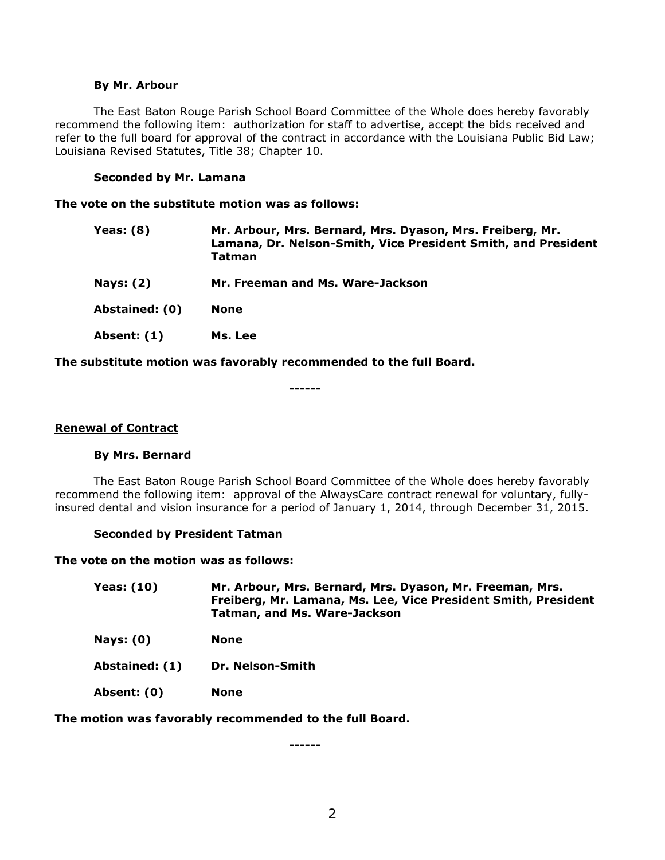### **By Mr. Arbour**

The East Baton Rouge Parish School Board Committee of the Whole does hereby favorably recommend the following item: authorization for staff to advertise, accept the bids received and refer to the full board for approval of the contract in accordance with the Louisiana Public Bid Law; Louisiana Revised Statutes, Title 38; Chapter 10.

### **Seconded by Mr. Lamana**

**The vote on the substitute motion was as follows:**

| Yeas: $(8)$    | Mr. Arbour, Mrs. Bernard, Mrs. Dyason, Mrs. Freiberg, Mr.<br>Lamana, Dr. Nelson-Smith, Vice President Smith, and President<br>Tatman |
|----------------|--------------------------------------------------------------------------------------------------------------------------------------|
| Nays: $(2)$    | Mr. Freeman and Ms. Ware-Jackson                                                                                                     |
| Abstained: (0) | None                                                                                                                                 |
| Absent: (1)    | Ms. Lee                                                                                                                              |

**The substitute motion was favorably recommended to the full Board.**

**------**

### **Renewal of Contract**

### **By Mrs. Bernard**

The East Baton Rouge Parish School Board Committee of the Whole does hereby favorably recommend the following item: approval of the AlwaysCare contract renewal for voluntary, fullyinsured dental and vision insurance for a period of January 1, 2014, through December 31, 2015.

### **Seconded by President Tatman**

**The vote on the motion was as follows:**

| <b>Yeas: (10)</b> | Mr. Arbour, Mrs. Bernard, Mrs. Dyason, Mr. Freeman, Mrs.       |
|-------------------|----------------------------------------------------------------|
|                   | Freiberg, Mr. Lamana, Ms. Lee, Vice President Smith, President |
|                   | Tatman, and Ms. Ware-Jackson                                   |

- **Nays: (0) None**
- **Abstained: (1) Dr. Nelson-Smith**
- **Absent: (0) None**

### **The motion was favorably recommended to the full Board.**

**------**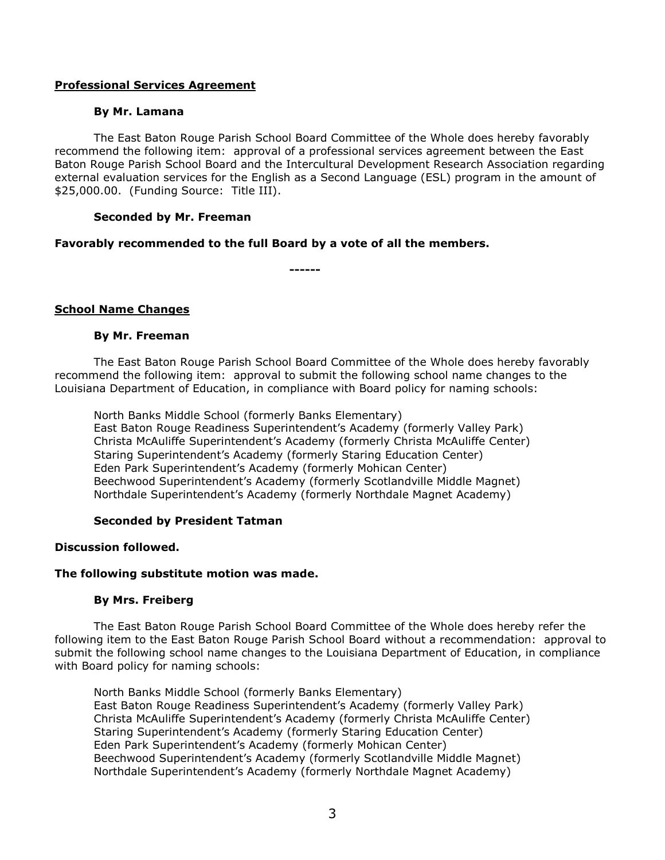## **Professional Services Agreement**

### **By Mr. Lamana**

The East Baton Rouge Parish School Board Committee of the Whole does hereby favorably recommend the following item: approval of a professional services agreement between the East Baton Rouge Parish School Board and the Intercultural Development Research Association regarding external evaluation services for the English as a Second Language (ESL) program in the amount of \$25,000.00. (Funding Source: Title III).

### **Seconded by Mr. Freeman**

# **Favorably recommended to the full Board by a vote of all the members.**

**------**

# **School Name Changes**

### **By Mr. Freeman**

The East Baton Rouge Parish School Board Committee of the Whole does hereby favorably recommend the following item: approval to submit the following school name changes to the Louisiana Department of Education, in compliance with Board policy for naming schools:

North Banks Middle School (formerly Banks Elementary) East Baton Rouge Readiness Superintendent's Academy (formerly Valley Park) Christa McAuliffe Superintendent's Academy (formerly Christa McAuliffe Center) Staring Superintendent's Academy (formerly Staring Education Center) Eden Park Superintendent's Academy (formerly Mohican Center) Beechwood Superintendent's Academy (formerly Scotlandville Middle Magnet) Northdale Superintendent's Academy (formerly Northdale Magnet Academy)

# **Seconded by President Tatman**

# **Discussion followed.**

### **The following substitute motion was made.**

### **By Mrs. Freiberg**

The East Baton Rouge Parish School Board Committee of the Whole does hereby refer the following item to the East Baton Rouge Parish School Board without a recommendation: approval to submit the following school name changes to the Louisiana Department of Education, in compliance with Board policy for naming schools:

North Banks Middle School (formerly Banks Elementary) East Baton Rouge Readiness Superintendent's Academy (formerly Valley Park) Christa McAuliffe Superintendent's Academy (formerly Christa McAuliffe Center) Staring Superintendent's Academy (formerly Staring Education Center) Eden Park Superintendent's Academy (formerly Mohican Center) Beechwood Superintendent's Academy (formerly Scotlandville Middle Magnet) Northdale Superintendent's Academy (formerly Northdale Magnet Academy)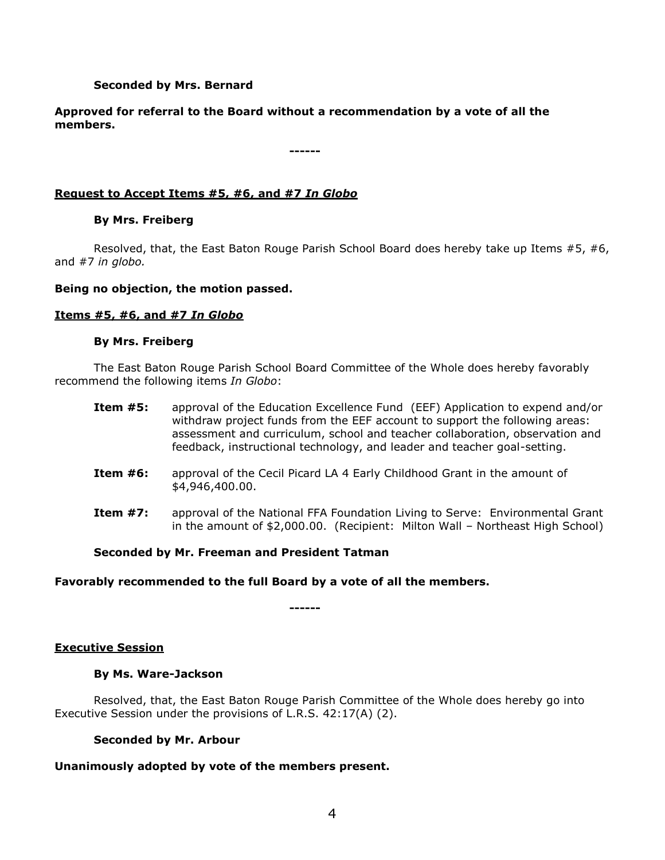# **Seconded by Mrs. Bernard**

**Approved for referral to the Board without a recommendation by a vote of all the members.**

**------**

### **Request to Accept Items #5, #6, and #7** *In Globo*

### **By Mrs. Freiberg**

Resolved, that, the East Baton Rouge Parish School Board does hereby take up Items #5, #6, and #7 *in globo.* 

### **Being no objection, the motion passed.**

### **Items #5, #6, and #7** *In Globo*

### **By Mrs. Freiberg**

The East Baton Rouge Parish School Board Committee of the Whole does hereby favorably recommend the following items *In Globo*:

- **Item #5:** approval of the Education Excellence Fund (EEF) Application to expend and/or withdraw project funds from the EEF account to support the following areas: assessment and curriculum, school and teacher collaboration, observation and feedback, instructional technology, and leader and teacher goal-setting.
- **Item #6:** approval of the Cecil Picard LA 4 Early Childhood Grant in the amount of \$4,946,400.00.
- **Item #7:** approval of the National FFA Foundation Living to Serve: Environmental Grant in the amount of \$2,000.00. (Recipient: Milton Wall – Northeast High School)

### **Seconded by Mr. Freeman and President Tatman**

### **Favorably recommended to the full Board by a vote of all the members.**

**------**

### **Executive Session**

### **By Ms. Ware-Jackson**

Resolved, that, the East Baton Rouge Parish Committee of the Whole does hereby go into Executive Session under the provisions of L.R.S. 42:17(A) (2).

### **Seconded by Mr. Arbour**

### **Unanimously adopted by vote of the members present.**